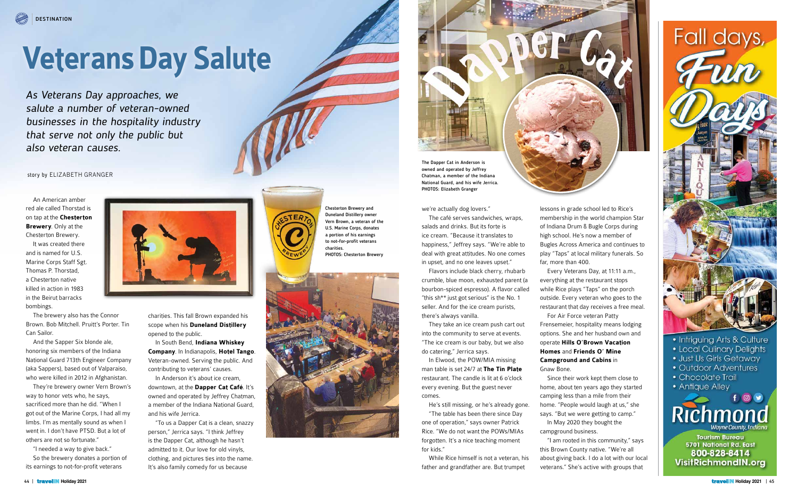



800-828-8414 **VisitRichmondIN.org** 

## **Veterans Day Salute**

story by ELIZABETH GRANGER

Chesterton Brewery and Duneland Distillery owner Vern Brown, a veteran of the U.S. Marine Corps, donates a portion of his earnings to not-for-profit veterans charities. PHOTOS: Chesterton Brewery





we're actually dog lovers."

The café serves sandwiches, wraps, salads and drinks. But its forte is ice cream. "Because it translates to happiness," Jeffrey says. "We're able to deal with great attitudes. No one comes in upset, and no one leaves upset."

Flavors include black cherry, rhubarb crumble, blue moon, exhausted parent (a bourbon-spiced espresso). A flavor called "this sh\*\* just got serious" is the No. 1 seller. And for the ice cream purists, there's always vanilla.

They take an ice cream push cart out into the community to serve at events. "The ice cream is our baby, but we also do catering," Jerrica says.

In Elwood, the POW/MIA missing man table is set 24/7 at **The Tin Plate** restaurant. The candle is lit at 6 o'clock every evening. But the guest never comes.

He's still missing, or he's already gone. "The table has been there since Day one of operation," says owner Patrick Rice. "We do not want the POWs/MIAs forgotten. It's a nice teaching moment

for kids." While Rice himself is not a veteran, his

father and grandfather are. But trumpet

An American amber red ale called Thorstad is on tap at the **Chesterton Brewery**. Only at the Chesterton Brewery.

It was created there and is named for U.S. Marine Corps Staff Sgt. Thomas P. Thorstad, a Chesterton native killed in action in 1983 in the Beirut barracks bombings.

The brewery also has the Connor Brown. Bob Mitchell. Pruitt's Porter. Tin Can Sailor.

And the Sapper Six blonde ale, honoring six members of the Indiana National Guard 713th Engineer Company (aka Sappers), based out of Valparaiso, who were killed in 2012 in Afghanistan.

They're brewery owner Vern Brown's way to honor vets who, he says, sacrificed more than he did. "When I got out of the Marine Corps, I had all my limbs. I'm as mentally sound as when I went in. I don't have PTSD. But a lot of others are not so fortunate."

"I needed a way to give back." So the brewery donates a portion of its earnings to not-for-profit veterans



As Veterans Day approaches, we salute a number of veteran-owned businesses in the hospitality industry that serve not only the public but also veteran causes.

> charities. This fall Brown expanded his scope when his **Duneland Distillery** opened to the public.

In South Bend, **Indiana Whiskey Company**. In Indianapolis, **Hotel Tango**. Veteran-owned. Serving the public. And contributing to veterans' causes.

In Anderson it's about ice cream, downtown, at the **Dapper Cat Café**. It's owned and operated by Jeffrey Chatman, a member of the Indiana National Guard, and his wife Jerrica.

"To us a Dapper Cat is a clean, snazzy person," Jerrica says. "I think Jeffrey is the Dapper Cat, although he hasn't admitted to it. Our love for old vinyls, clothing, and pictures ties into the name. It's also family comedy for us because

The Dapper Cat in Anderson is owned and operated by Jeffrey Chatman, a member of the Indiana National Guard, and his wife Jerrica. PHOTOS: Elizabeth Granger

> lessons in grade school led to Rice's membership in the world champion Star of Indiana Drum & Bugle Corps during high school. He's now a member of Bugles Across America and continues to play "Taps" at local military funerals. So far, more than 400.

Every Veterans Day, at 11:11 a.m., everything at the restaurant stops while Rice plays "Taps" on the porch outside. Every veteran who goes to the restaurant that day receives a free meal. For Air Force veteran Patty Frensemeier, hospitality means lodging options. She and her husband own and operate **Hills O'Brown Vacation Homes** and **Friends O' Mine Campground and Cabins** in

Gnaw Bone.

Since their work kept them close to home, about ten years ago they started camping less than a mile from their home. "People would laugh at us," she says. "But we were getting to camp." In May 2020 they bought the campground business.

"I am rooted in this community," says this Brown County native. "We're all about giving back. I do a lot with our local veterans." She's active with groups that